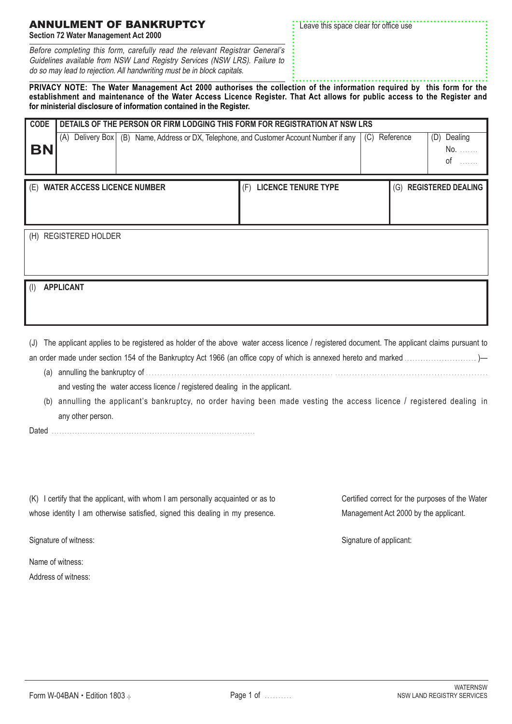Signature of witness:

Name of witness: Address of witness:

| <b>ANNULMENT OF BANKRUPTCY</b><br>Section 72 Water Management Act 2000       | * Leave this space clear for office use |
|------------------------------------------------------------------------------|-----------------------------------------|
| Before completing this form, carefully read the relevant Registrar General's |                                         |

**PRIVACY NOTE: The Water Management Act 2000 authorises the collection of the information required by this form for the establishment and maintenance of the Water Access Licence Register. That Act allows for public access to the Register and for ministerial disclosure of information contained in the Register.** do so may lead to rejection. All handwriting must be in block capitals.

| <b>CODE</b> | DETAILS OF THE PERSON OR FIRM LODGING THIS FORM FOR REGISTRATION AT NSW LRS |  |                                                                                       |     |           |                            |
|-------------|-----------------------------------------------------------------------------|--|---------------------------------------------------------------------------------------|-----|-----------|----------------------------|
| <b>BN</b>   | (A)                                                                         |  | Delivery Box   (B) Name, Address or DX, Telephone, and Customer Account Number if any | (C) | Reference | Dealing<br>(D)<br>No<br>οf |
| (E)         | <b>WATER ACCESS LICENCE NUMBER</b>                                          |  | <b>LICENCE TENURE TYPE</b><br>(F)                                                     |     | (G)       | <b>REGISTERED DEALING</b>  |
| (H)         | <b>REGISTERED HOLDER</b>                                                    |  |                                                                                       |     |           |                            |

(I) **APPLICANT**

(J) The applicant applies to be registered as holder of the above water access licence / registered document. The applicant claims pursuant to an order made under section 154 of the Bankruptcy Act 1966 (an office copy of which is annexed hereto and marked . . . . . . . . . . . . . . . . . . . . . . . . . . . )—

- (a) annulling the bankruptcy of . . . . . . . . . . . . . . . . . . . . . . . . . . . . . . . . . . . . . . . . . . . . . . . . . . . . . . . . . . . . . . . . . . . . . . . . . . . . . . . . . . . . . . . . . . . . . . . . . . . . . . . . . . . . . . . . . . . . . . . . and vesting the water access licence / registered dealing in the applicant.
- (b) annulling the applicant's bankruptcy, no order having been made vesting the access licence / registered dealing in any other person.

Dated . . . . . . . . . . . . . . . . . . . . . . . . . . . . . . . . . . . . . . . . . . . . . . . . . . . . . . . . . . . . . . . . . . . . . . . . . . . . . . .

Guidelines available from NSW Land Registry Services (NSW LRS). Failure to

(K) I certify that the applicant, with whom I am personally acquainted or as to whose identity I am otherwise satisfied, signed this dealing in my presence. Certified correct for the purposes of the Water Management Act 2000 by the applicant.

Signature of applicant: